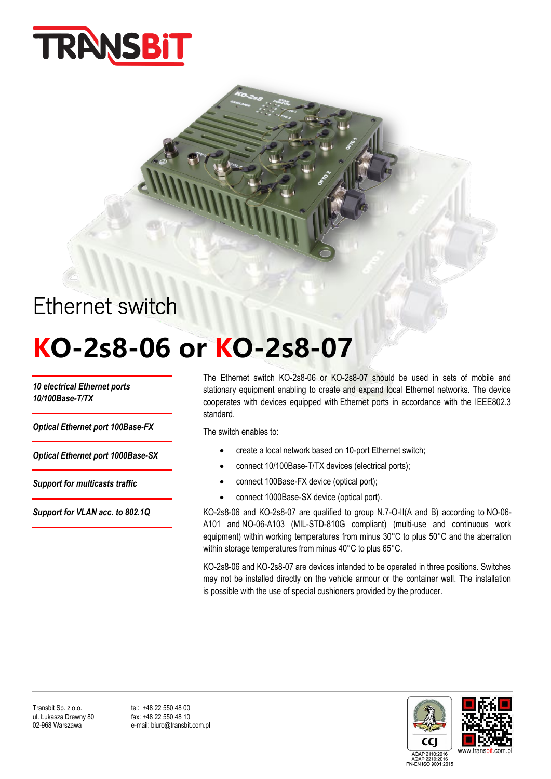

## Ethernet switch

# **KO-2s8-06 or KO-2s8-07**

*10 electrical Ethernet ports 10/100Base-T/TX*

*Optical Ethernet port 100Base-FX*

*Optical Ethernet port 1000Base-SX*

*Support for multicasts traffic*

*Support for VLAN acc. to 802.1Q*

The Ethernet switch KO-2s8-06 or KO-2s8-07 should be used in sets of mobile and stationary equipment enabling to create and expand local Ethernet networks. The device cooperates with devices equipped with Ethernet ports in accordance with the IEEE802.3 standard.

The switch enables to:

- create a local network based on 10-port Ethernet switch;
- connect 10/100Base-T/TX devices (electrical ports);
- connect 100Base-FX device (optical port);
- connect 1000Base-SX device (optical port).

KO-2s8-06 and KO-2s8-07 are qualified to group N.7-O-II(A and B) according to NO-06- A101 and NO-06-A103 (MIL-STD-810G compliant) (multi-use and continuous work equipment) within working temperatures from minus 30°C to plus 50°C and the aberration within storage temperatures from minus 40°C to plus 65°C.

KO-2s8-06 and KO-2s8-07 are devices intended to be operated in three positions. Switches may not be installed directly on the vehicle armour or the container wall. The installation is possible with the use of special cushioners provided by the producer.



e-mail: biuro@transbit.com.pl